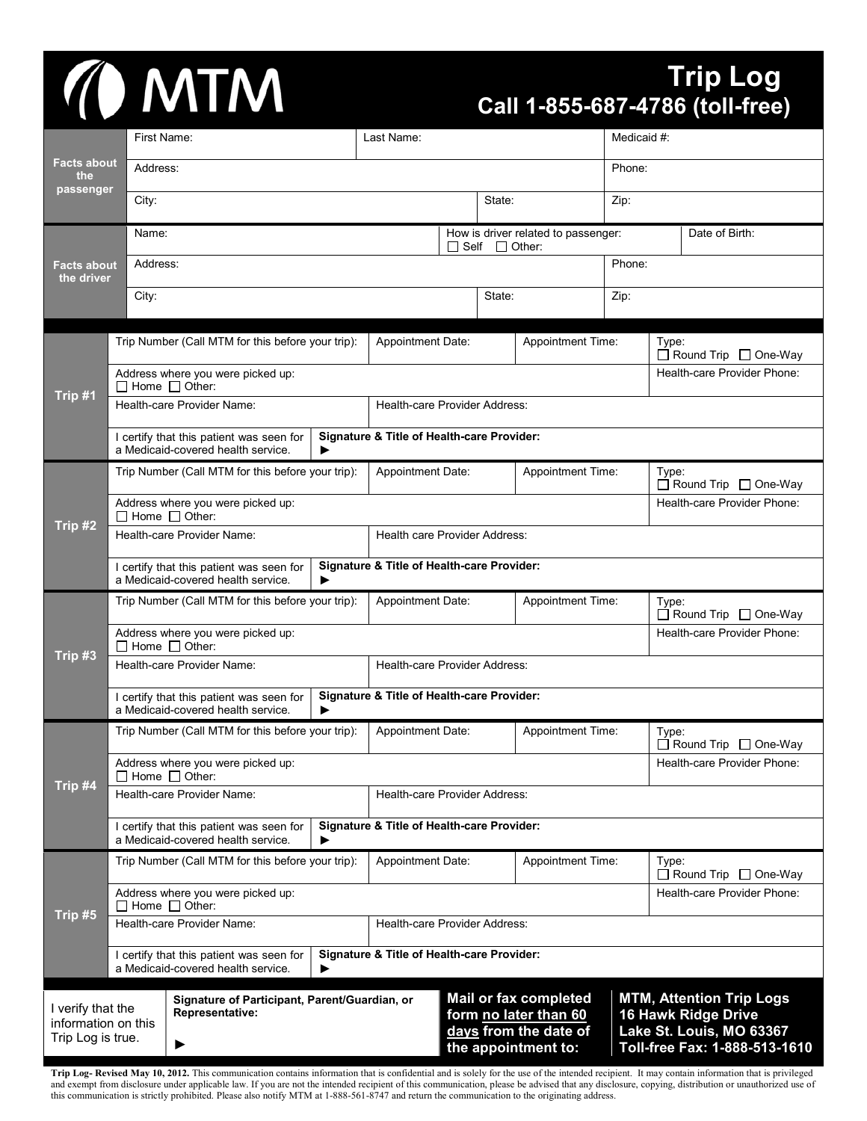## **INTM**

## **Trip Log Call 1-855-687-4786 (toll-free)**

|                                                               |                                                                                                                              | First Name:                                                                                                                       |                                                                                                       |                                                                     | Last Name:                                           |                          |                                           |                                                                                                                     | Medicaid #:                               |  |  |
|---------------------------------------------------------------|------------------------------------------------------------------------------------------------------------------------------|-----------------------------------------------------------------------------------------------------------------------------------|-------------------------------------------------------------------------------------------------------|---------------------------------------------------------------------|------------------------------------------------------|--------------------------|-------------------------------------------|---------------------------------------------------------------------------------------------------------------------|-------------------------------------------|--|--|
| Facts about<br>the                                            |                                                                                                                              | Address:                                                                                                                          |                                                                                                       |                                                                     |                                                      |                          |                                           | Phone:                                                                                                              |                                           |  |  |
| passenger                                                     | City:                                                                                                                        |                                                                                                                                   |                                                                                                       | State:                                                              |                                                      |                          | Zip:                                      |                                                                                                                     |                                           |  |  |
|                                                               | Name:                                                                                                                        |                                                                                                                                   |                                                                                                       | How is driver related to passenger:<br>$\Box$ Other:<br>$\Box$ Self |                                                      |                          | Date of Birth:                            |                                                                                                                     |                                           |  |  |
| <b>Facts about</b><br>the driver                              | Address:                                                                                                                     |                                                                                                                                   |                                                                                                       |                                                                     |                                                      |                          | Phone:                                    |                                                                                                                     |                                           |  |  |
|                                                               | City:                                                                                                                        |                                                                                                                                   |                                                                                                       | State:                                                              |                                                      | Zip:                     |                                           |                                                                                                                     |                                           |  |  |
|                                                               |                                                                                                                              | Trip Number (Call MTM for this before your trip):                                                                                 | <b>Appointment Date:</b>                                                                              |                                                                     |                                                      | <b>Appointment Time:</b> | Type:<br>$\Box$ Round Trip $\Box$ One-Way |                                                                                                                     |                                           |  |  |
| Trip #1                                                       |                                                                                                                              | Address where you were picked up:<br>$\Box$ Home $\Box$ Other:                                                                    |                                                                                                       |                                                                     |                                                      |                          | Health-care Provider Phone:               |                                                                                                                     |                                           |  |  |
|                                                               |                                                                                                                              | Health-care Provider Name:                                                                                                        | Health-care Provider Address:                                                                         |                                                                     |                                                      |                          |                                           |                                                                                                                     |                                           |  |  |
| Trip #2                                                       |                                                                                                                              | Signature & Title of Health-care Provider:<br>I certify that this patient was seen for<br>a Medicaid-covered health service.<br>▶ |                                                                                                       |                                                                     |                                                      |                          |                                           |                                                                                                                     |                                           |  |  |
|                                                               |                                                                                                                              | Trip Number (Call MTM for this before your trip):                                                                                 | <b>Appointment Date:</b>                                                                              |                                                                     |                                                      | <b>Appointment Time:</b> | Type:<br>□ Round Trip □ One-Way           |                                                                                                                     |                                           |  |  |
|                                                               |                                                                                                                              | Address where you were picked up:<br>$\Box$ Home $\Box$ Other:                                                                    |                                                                                                       |                                                                     |                                                      |                          |                                           | Health-care Provider Phone:                                                                                         |                                           |  |  |
|                                                               |                                                                                                                              | Health-care Provider Name:                                                                                                        | Health care Provider Address:                                                                         |                                                                     |                                                      |                          |                                           |                                                                                                                     |                                           |  |  |
|                                                               |                                                                                                                              | Signature & Title of Health-care Provider:<br>I certify that this patient was seen for<br>a Medicaid-covered health service.      |                                                                                                       |                                                                     |                                                      |                          |                                           |                                                                                                                     |                                           |  |  |
| Trip #3                                                       |                                                                                                                              | Trip Number (Call MTM for this before your trip):                                                                                 |                                                                                                       |                                                                     | <b>Appointment Date:</b><br><b>Appointment Time:</b> |                          |                                           | Type:<br>$\Box$ Round Trip $\Box$ One-Way                                                                           |                                           |  |  |
|                                                               |                                                                                                                              | Address where you were picked up:<br>$\Box$ Home $\Box$ Other:                                                                    |                                                                                                       |                                                                     |                                                      |                          | Health-care Provider Phone:               |                                                                                                                     |                                           |  |  |
|                                                               |                                                                                                                              | Health-care Provider Name:                                                                                                        | <b>Health-care Provider Address:</b>                                                                  |                                                                     |                                                      |                          |                                           |                                                                                                                     |                                           |  |  |
|                                                               |                                                                                                                              | Signature & Title of Health-care Provider:<br>I certify that this patient was seen for<br>a Medicaid-covered health service.      |                                                                                                       |                                                                     |                                                      |                          |                                           |                                                                                                                     |                                           |  |  |
|                                                               |                                                                                                                              | Trip Number (Call MTM for this before your trip):                                                                                 |                                                                                                       |                                                                     | <b>Appointment Date:</b><br>Appointment Time:        |                          |                                           |                                                                                                                     | Type:<br>$\Box$ Round Trip $\Box$ One-Way |  |  |
| Trip #4                                                       |                                                                                                                              | Address where you were picked up:<br>$\Box$ Home $\Box$ Other:                                                                    |                                                                                                       |                                                                     |                                                      |                          |                                           | Health-care Provider Phone:                                                                                         |                                           |  |  |
|                                                               |                                                                                                                              | Health-care Provider Name:                                                                                                        | Health-care Provider Address:                                                                         |                                                                     |                                                      |                          |                                           |                                                                                                                     |                                           |  |  |
| Trip #5                                                       | Signature & Title of Health-care Provider:<br>I certify that this patient was seen for<br>a Medicaid-covered health service. |                                                                                                                                   |                                                                                                       |                                                                     |                                                      |                          |                                           |                                                                                                                     |                                           |  |  |
|                                                               |                                                                                                                              | Trip Number (Call MTM for this before your trip):                                                                                 | <b>Appointment Date:</b>                                                                              |                                                                     |                                                      | <b>Appointment Time:</b> |                                           | Type:<br>$\Box$ Round Trip $\Box$ One-Way                                                                           |                                           |  |  |
|                                                               |                                                                                                                              | Address where you were picked up:<br>$\Box$ Home $\Box$ Other:                                                                    |                                                                                                       |                                                                     |                                                      |                          | Health-care Provider Phone:               |                                                                                                                     |                                           |  |  |
|                                                               |                                                                                                                              | Health-care Provider Name:                                                                                                        | Health-care Provider Address:                                                                         |                                                                     |                                                      |                          |                                           |                                                                                                                     |                                           |  |  |
|                                                               |                                                                                                                              | I certify that this patient was seen for<br>a Medicaid-covered health service.                                                    | Signature & Title of Health-care Provider:                                                            |                                                                     |                                                      |                          |                                           |                                                                                                                     |                                           |  |  |
| I verify that the<br>information on this<br>Trip Log is true. |                                                                                                                              | Signature of Participant, Parent/Guardian, or<br>Representative:<br>▶                                                             | <b>Mail or fax completed</b><br>form no later than 60<br>days from the date of<br>the appointment to: |                                                                     |                                                      |                          |                                           | <b>MTM, Attention Trip Logs</b><br>16 Hawk Ridge Drive<br>Lake St. Louis, MO 63367<br>Toll-free Fax: 1-888-513-1610 |                                           |  |  |

Trip Log- Revised May 10, 2012. This communication contains information that is confidential and is solely for the use of the intended recipient. It may contain information that is privileged and exempt from disclosure under applicable law. If you are not the intended recipient of this communication, please be advised that any disclosure, copying, distribution or unauthorized use of this communication is strictly prohibited. Please also notify MTM at 1-888-561-8747 and return the communication to the originating address.